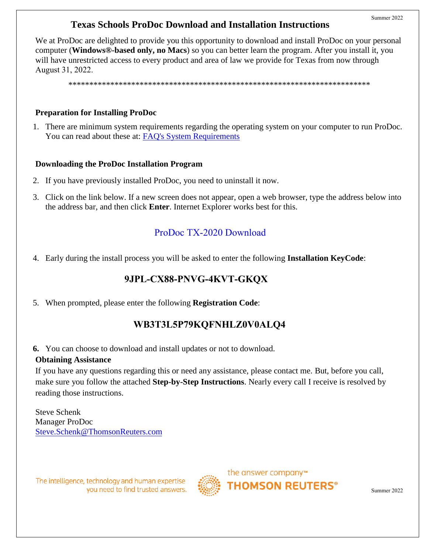# **Texas Schools ProDoc Download and Installation Instructions**

We at ProDoc are delighted to provide you this opportunity to download and install ProDoc on your personal computer (**Windows®-based only, no Macs**) so you can better learn the program. After you install it, you will have unrestricted access to every product and area of law we provide for Texas from now through August 31, 2022.

\*\*\*\*\*\*\*\*\*\*\*\*\*\*\*\*\*\*\*\*\*\*\*\*\*\*\*\*\*\*\*\*\*\*\*\*\*\*\*\*\*\*\*\*\*\*\*\*\*\*\*\*\*\*\*\*\*\*\*\*\*\*\*\*\*\*\*\*\*\*\*\*

#### **Preparation for Installing ProDoc**

1. There are minimum system requirements regarding the operating system on your computer to run ProDoc. You can read about these at: [FAQ's System Requirements](http://www.prodoc.com/support/faqs.asp#recommend)

#### **Downloading the ProDoc Installation Program**

- 2. If you have previously installed ProDoc, you need to uninstall it now.
- 3. Click on the link below. If a new screen does not appear, open a web browser, type the address below into the address bar, and then click **Enter**. Internet Explorer works best for this.

## [ProDoc TX-2020 Download](http://www.prodoc.com/Downloads/PD-TX-2020.exe)

4. Early during the install process you will be asked to enter the following **Installation KeyCode**:

## **9JPL-CX88-PNVG-4KVT-GKQX**

5. When prompted, please enter the following **Registration Code**:

## **WB3T3L5P79KQFNHLZ0V0ALQ4**

**6.** You can choose to download and install updates or not to download.

## **Obtaining Assistance**

If you have any questions regarding this or need any assistance, please contact me. But, before you call, make sure you follow the attached **Step-by-Step Instructions**. Nearly every call I receive is resolved by reading those instructions.

Steve Schenk Manager ProDoc [Steve.Schenk@ThomsonReuters.com](mailto:steve.schenk@ThomsonReuters.com)

The intelligence, technology and human expertise you need to find trusted answers.



the answer company™

**THOMSON REUTERS®** 

Summer 2022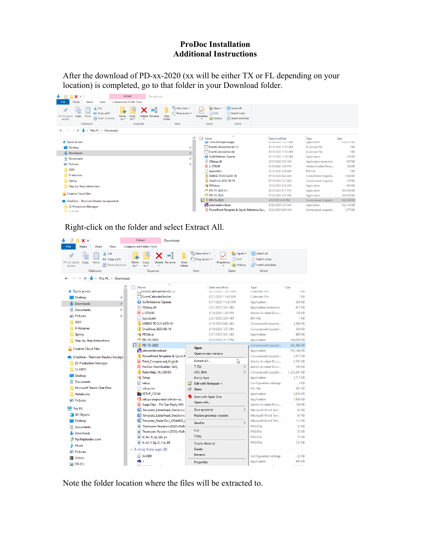## **ProDoc Installation Additional Instructions**

After the download of PD-xx-2020 (xx will be either TX or FL depending on your location) is completed, go to that folder in your Download folder.

| <b>Compressed Folder Tools</b><br>Home<br>View<br>File<br><b>Share</b><br>Select all<br>New item *<br>pp Open -<br>$\infty$ Cut<br>Ŀ<br>x<br>电<br>F Easy access *<br>Redit<br>HR Select none<br><b>W</b> . Copy path<br>Pin to Quick<br>New<br>Properties<br>Copy<br>Paste<br>Move<br>Delete Rename<br>Copy<br>Paste shortcut<br><b>Relation</b><br><b>G</b> History<br>$to -$<br>to -<br>folder<br>access<br><b>New</b><br>Select<br>Clipboard<br>Organize<br>Open<br>This PC > Downloads<br>$\widehat{\phantom{a}}$<br>$\lambda$<br>Size<br>Date modified<br>Type<br>Name<br><b>A</b> Quick access<br>9/28/2020 11:37 AM<br><b>WO</b> Litrix WorkspaceApp<br>Application<br>EventCalendarServlet (1)<br>8/21/2020 11:47 AM<br>iCalendar File<br>Desktop<br>À<br>EventCalendarServlet<br>iCalendar File<br>8/21/2020 11:43 AM<br>$\pi^{\mu}$<br>Downloads<br><b>Q</b> GoToWebinar Opener<br>6/17/2020 11:56 AM<br>Application<br><b>Documents</b><br>À<br>S ISSetup.dll<br>2/21/2020 3:51 AM<br><b>Application extension</b><br><b>Pictures</b><br>À<br>A L-376390<br>4/16/2020 1:30 PM<br>Adobe Acrobat Docu<br><b>128 KB</b><br>$\sqrt{2020}$<br><b>BIN File</b><br>layout.bin<br>2/21/2020 3:54 AM<br>R-Volumes<br>MERGE TOOLS ADD-IN<br>8/18/2020 8:42 AM<br>1.549 KB<br>Compressed (zipped)<br><b>D</b> OneDrive-2020-08-19<br>Spring<br>8/19/2020 7:27 AM<br>359 KB<br>Compressed (zipped)<br>PR PDSetup<br>2/21/2020 3:51 AM<br>Application<br>860 KB<br>Step-by-Step Instructions<br>8/25/2020 3:17 PM<br>364,036 KB<br><b>PD</b> PD-TX-2020 (1)<br>Application<br>Creative Cloud Files<br><b>PD PD-TX-2020</b><br>4/10/2020 7:42 AM<br>364,036 KB<br>Application<br>☑<br>PD-TX-2020<br>382,466 KB<br>4/6/2020 4:04 PM<br>Compressed (zipped)<br>OneDrive - Thomson Reuters Incorporated<br>plannerdownload<br>8/26/2020 7:41 AM<br>Application<br>02-Production Manager | ┺∣<br>V<br>$x =$ |  | Extract | Downloads |  |  |  |                   |                     |                     |  |
|-----------------------------------------------------------------------------------------------------------------------------------------------------------------------------------------------------------------------------------------------------------------------------------------------------------------------------------------------------------------------------------------------------------------------------------------------------------------------------------------------------------------------------------------------------------------------------------------------------------------------------------------------------------------------------------------------------------------------------------------------------------------------------------------------------------------------------------------------------------------------------------------------------------------------------------------------------------------------------------------------------------------------------------------------------------------------------------------------------------------------------------------------------------------------------------------------------------------------------------------------------------------------------------------------------------------------------------------------------------------------------------------------------------------------------------------------------------------------------------------------------------------------------------------------------------------------------------------------------------------------------------------------------------------------------------------------------------------------------------------------------------------------------------------------------------------------------------------------------------------------------------|------------------|--|---------|-----------|--|--|--|-------------------|---------------------|---------------------|--|
|                                                                                                                                                                                                                                                                                                                                                                                                                                                                                                                                                                                                                                                                                                                                                                                                                                                                                                                                                                                                                                                                                                                                                                                                                                                                                                                                                                                                                                                                                                                                                                                                                                                                                                                                                                                                                                                                                   |                  |  |         |           |  |  |  |                   |                     |                     |  |
|                                                                                                                                                                                                                                                                                                                                                                                                                                                                                                                                                                                                                                                                                                                                                                                                                                                                                                                                                                                                                                                                                                                                                                                                                                                                                                                                                                                                                                                                                                                                                                                                                                                                                                                                                                                                                                                                                   |                  |  |         |           |  |  |  |                   |                     |                     |  |
|                                                                                                                                                                                                                                                                                                                                                                                                                                                                                                                                                                                                                                                                                                                                                                                                                                                                                                                                                                                                                                                                                                                                                                                                                                                                                                                                                                                                                                                                                                                                                                                                                                                                                                                                                                                                                                                                                   |                  |  |         |           |  |  |  |                   |                     |                     |  |
|                                                                                                                                                                                                                                                                                                                                                                                                                                                                                                                                                                                                                                                                                                                                                                                                                                                                                                                                                                                                                                                                                                                                                                                                                                                                                                                                                                                                                                                                                                                                                                                                                                                                                                                                                                                                                                                                                   |                  |  |         |           |  |  |  |                   |                     | 138, 147 KB<br>1 KB |  |
|                                                                                                                                                                                                                                                                                                                                                                                                                                                                                                                                                                                                                                                                                                                                                                                                                                                                                                                                                                                                                                                                                                                                                                                                                                                                                                                                                                                                                                                                                                                                                                                                                                                                                                                                                                                                                                                                                   |                  |  |         |           |  |  |  |                   | $1$ KB              |                     |  |
|                                                                                                                                                                                                                                                                                                                                                                                                                                                                                                                                                                                                                                                                                                                                                                                                                                                                                                                                                                                                                                                                                                                                                                                                                                                                                                                                                                                                                                                                                                                                                                                                                                                                                                                                                                                                                                                                                   |                  |  |         |           |  |  |  |                   |                     | 356 KB              |  |
|                                                                                                                                                                                                                                                                                                                                                                                                                                                                                                                                                                                                                                                                                                                                                                                                                                                                                                                                                                                                                                                                                                                                                                                                                                                                                                                                                                                                                                                                                                                                                                                                                                                                                                                                                                                                                                                                                   |                  |  |         |           |  |  |  |                   | 617 KB              |                     |  |
|                                                                                                                                                                                                                                                                                                                                                                                                                                                                                                                                                                                                                                                                                                                                                                                                                                                                                                                                                                                                                                                                                                                                                                                                                                                                                                                                                                                                                                                                                                                                                                                                                                                                                                                                                                                                                                                                                   |                  |  |         |           |  |  |  |                   |                     |                     |  |
|                                                                                                                                                                                                                                                                                                                                                                                                                                                                                                                                                                                                                                                                                                                                                                                                                                                                                                                                                                                                                                                                                                                                                                                                                                                                                                                                                                                                                                                                                                                                                                                                                                                                                                                                                                                                                                                                                   |                  |  |         |           |  |  |  |                   |                     | $1$ KB              |  |
|                                                                                                                                                                                                                                                                                                                                                                                                                                                                                                                                                                                                                                                                                                                                                                                                                                                                                                                                                                                                                                                                                                                                                                                                                                                                                                                                                                                                                                                                                                                                                                                                                                                                                                                                                                                                                                                                                   |                  |  |         |           |  |  |  |                   |                     |                     |  |
|                                                                                                                                                                                                                                                                                                                                                                                                                                                                                                                                                                                                                                                                                                                                                                                                                                                                                                                                                                                                                                                                                                                                                                                                                                                                                                                                                                                                                                                                                                                                                                                                                                                                                                                                                                                                                                                                                   |                  |  |         |           |  |  |  |                   |                     |                     |  |
|                                                                                                                                                                                                                                                                                                                                                                                                                                                                                                                                                                                                                                                                                                                                                                                                                                                                                                                                                                                                                                                                                                                                                                                                                                                                                                                                                                                                                                                                                                                                                                                                                                                                                                                                                                                                                                                                                   |                  |  |         |           |  |  |  |                   |                     |                     |  |
|                                                                                                                                                                                                                                                                                                                                                                                                                                                                                                                                                                                                                                                                                                                                                                                                                                                                                                                                                                                                                                                                                                                                                                                                                                                                                                                                                                                                                                                                                                                                                                                                                                                                                                                                                                                                                                                                                   |                  |  |         |           |  |  |  |                   |                     |                     |  |
|                                                                                                                                                                                                                                                                                                                                                                                                                                                                                                                                                                                                                                                                                                                                                                                                                                                                                                                                                                                                                                                                                                                                                                                                                                                                                                                                                                                                                                                                                                                                                                                                                                                                                                                                                                                                                                                                                   |                  |  |         |           |  |  |  |                   |                     |                     |  |
|                                                                                                                                                                                                                                                                                                                                                                                                                                                                                                                                                                                                                                                                                                                                                                                                                                                                                                                                                                                                                                                                                                                                                                                                                                                                                                                                                                                                                                                                                                                                                                                                                                                                                                                                                                                                                                                                                   |                  |  |         |           |  |  |  |                   |                     |                     |  |
|                                                                                                                                                                                                                                                                                                                                                                                                                                                                                                                                                                                                                                                                                                                                                                                                                                                                                                                                                                                                                                                                                                                                                                                                                                                                                                                                                                                                                                                                                                                                                                                                                                                                                                                                                                                                                                                                                   |                  |  |         |           |  |  |  |                   | 252,144 KB          |                     |  |
| PowerPoint Template & Quick Reference Gui<br><b>College of the College</b>                                                                                                                                                                                                                                                                                                                                                                                                                                                                                                                                                                                                                                                                                                                                                                                                                                                                                                                                                                                                                                                                                                                                                                                                                                                                                                                                                                                                                                                                                                                                                                                                                                                                                                                                                                                                        |                  |  |         |           |  |  |  | 5/22/2020 8:05 AM | Compressed (zipped) | 1,477 KB            |  |

Right-click on the folder and select Extract All.

| $\ddotmark$<br>x =                                                                                       | Extract<br>Downloads                                                                          |                                                 |                                        |                                                           |                                                         |                                                 |                              |  |  |  |
|----------------------------------------------------------------------------------------------------------|-----------------------------------------------------------------------------------------------|-------------------------------------------------|----------------------------------------|-----------------------------------------------------------|---------------------------------------------------------|-------------------------------------------------|------------------------------|--|--|--|
| File<br>View<br><b>Compressed Folder Tools</b><br>Home<br>Share                                          |                                                                                               |                                                 |                                        |                                                           |                                                         |                                                 |                              |  |  |  |
| $\frac{1}{20}$ Cut<br>u <sub>m</sub> Copy path<br>Pin to Ouick Copy<br>Paste<br>Paste shortcut<br>access | - 1<br>Move<br>Copy<br>Delete Rename<br>$to -$<br>$to -$                                      | <b>New</b><br>folder                            | <b>The New item</b><br>F Easy access * | Properties                                                | $\Box$ Open $\tau$<br><b>/</b> Edit<br><b>A</b> History | Select all<br>HH Select none<br><b>Relation</b> |                              |  |  |  |
| Clipboard                                                                                                | Organize                                                                                      |                                                 | New                                    | Open                                                      |                                                         | Select                                          |                              |  |  |  |
| This PC > Downloads<br>$\mathbf{r}$                                                                      |                                                                                               |                                                 |                                        |                                                           |                                                         |                                                 |                              |  |  |  |
| ۸<br><b>Duick access</b><br>Desktop<br>À                                                                 | $\lambda$<br>$\Box$ Name<br>    EventCalendarServiet (1)<br>EventCalendarServlet              |                                                 |                                        | Date modified<br>8/21/2020 11:4/ AM<br>8/21/2020 11:43 AM |                                                         | Type<br>(Calendar File<br>iCalendar File        | Size<br><b>TKB</b><br>$1$ KB |  |  |  |
| $\mathcal{R}$<br>Downloads                                                                               |                                                                                               | 6/17/2020 11:56 AM<br><b>GoToWebinar Opener</b> |                                        | Application                                               | 356 KB                                                  |                                                 |                              |  |  |  |
| <b>Documents</b><br>À<br>葡                                                                               | ISSetup.dll<br>$\otimes$                                                                      |                                                 | 2/21/2020 3:51 AM                      |                                                           | <b>Application extension</b>                            | <b>617 KB</b>                                   |                              |  |  |  |
| Pictures<br>À                                                                                            | $A$ L-376390                                                                                  |                                                 |                                        | 4/16/2020 1:30 PM                                         |                                                         | Adobe Acrobat Docu                              | <b>128 KB</b>                |  |  |  |
| 2020                                                                                                     | lavout.bin<br><b>MERGE TOOLS ADD-IN</b>                                                       |                                                 |                                        | 2/21/2020 3:54 AM<br>8/18/2020 8:42 AM                    |                                                         | <b>BIN File</b>                                 | 1 <sub>KB</sub><br>1.549 KB  |  |  |  |
| <b>R-Volumes</b>                                                                                         | OneDrive-2020-08-19                                                                           |                                                 |                                        | 8/19/2020 7:27 AM                                         |                                                         | Compressed (zipped)<br>Compressed (zipped)      | 359 KB                       |  |  |  |
| Spring                                                                                                   | PR PDSetup                                                                                    |                                                 |                                        | 2/21/2020 3:51 AM                                         |                                                         | Application                                     | <b>860 KB</b>                |  |  |  |
| Step-by-Step Instructions                                                                                | DD PD-TX-2020                                                                                 |                                                 | 8/25/2020 3:17 PM                      |                                                           | Application                                             | 364.036 KB                                      |                              |  |  |  |
|                                                                                                          | PD-TX-2020<br>⊡                                                                               |                                                 | Open                                   |                                                           | Compressed (zipped)                                     | 382,466 KB                                      |                              |  |  |  |
| <b>Creative Cloud Files</b>                                                                              | plannerdownload                                                                               |                                                 |                                        |                                                           | Application                                             | 252.144 KB                                      |                              |  |  |  |
| <b>OneDrive - Thomson Reuters Incorpo</b>                                                                | PowerPoint Template & Quick F                                                                 |                                                 | Open in new window                     |                                                           |                                                         | Compressed (zipped)                             | 1.477 KB                     |  |  |  |
| 02-Production Manager                                                                                    | <b>A</b><br><b>Print Compressed English</b>                                                   |                                                 | Extract All                            |                                                           | Ų                                                       | Adobe Acrobat Docu                              | 2.741 KB                     |  |  |  |
| <b>CLIENTS</b>                                                                                           | ProDoc-FormBuilder-FAQ<br>آها                                                                 |                                                 | 7-Zip                                  |                                                           | $\rightarrow$                                           | Adobe Acrobat Docu                              | 339 KB                       |  |  |  |
|                                                                                                          | IV.<br>RoboHelp_14_LREFDJ                                                                     |                                                 | CRC SHA                                |                                                           | ⋋                                                       | Compressed (zipped)                             | 1,225,241 KB                 |  |  |  |
| Desktop                                                                                                  | $P\blacksquare$ Setup                                                                         |                                                 | Pin to Start                           |                                                           |                                                         | Application                                     | 3.713 KB                     |  |  |  |
| <b>Documents</b>                                                                                         | ła1<br>setup                                                                                  |                                                 | B<br>Edit with Notepad++               |                                                           | <b>Configuration settings</b>                           | 3 KB                                            |                              |  |  |  |
| Microsoft Teams Chat Files                                                                               | setup.inx                                                                                     | $\Rightarrow$                                   | Share                                  |                                                           |                                                         | <b>INX File</b>                                 | 381 KB                       |  |  |  |
| <b>Notebooks</b>                                                                                         | <b>ME SETUP CSC4J</b><br>setupvisioproretail.x64.en-us<br>Supp Objs - Pls' Sur-Reply MSJ<br>国 |                                                 | Scan with Apex One<br>Open with        |                                                           | Application                                             | 5,030 KB                                        |                              |  |  |  |
| Pictures                                                                                                 |                                                                                               |                                                 |                                        |                                                           | Application                                             | 7.959 KB                                        |                              |  |  |  |
| <b>This PC</b>                                                                                           |                                                                                               |                                                 |                                        |                                                           | Adobe Acrobat Docu                                      | <b>148 KB</b>                                   |                              |  |  |  |
|                                                                                                          | Template_Letterhead_Electronic                                                                |                                                 | Give access to                         |                                                           | $\rightarrow$                                           | Microsoft Word Tem                              | <b>67 KB</b>                 |  |  |  |
| 3D Objects                                                                                               | Template Letterhead Electronic                                                                |                                                 | Restore previous versions              |                                                           |                                                         | Microsoft Word Tem                              | <b>67 KB</b>                 |  |  |  |
| <b>Desktop</b>                                                                                           | Template_Short-Doc_ORANGE_I                                                                   |                                                 | $\mathcal{E}$<br>Send to               |                                                           | Microsoft Word Tem<br><b>PNG File</b>                   | <b>112 KB</b><br>37 KB                          |                              |  |  |  |
| 兽<br><b>Documents</b>                                                                                    | Thomson+Reuters+(2020)+full+                                                                  |                                                 | Cut                                    |                                                           |                                                         | <b>PNG File</b>                                 | <b>37 KB</b>                 |  |  |  |
| <b>Downloads</b>                                                                                         | Thomson+Reuters+(2020)+full+                                                                  |                                                 | Copy                                   |                                                           | <b>PNG File</b>                                         | <b>73 KB</b>                                    |                              |  |  |  |
| ftp.finplandev.com                                                                                       | tr_tac_h_lg_rgb_ps<br>tr_tcl_h_lg_2l_1cp_bk                                                   |                                                 | Create shortcut                        |                                                           | <b>PNG File</b>                                         | <b>127 KB</b>                                   |                              |  |  |  |
| Music                                                                                                    |                                                                                               |                                                 |                                        |                                                           |                                                         |                                                 |                              |  |  |  |
| Pictures                                                                                                 | $\vee$ A long time ago (8)                                                                    |                                                 | Delete                                 |                                                           |                                                         |                                                 |                              |  |  |  |
| <b>Videos</b>                                                                                            | <b>as 0x0409</b>                                                                              |                                                 | Rename                                 |                                                           |                                                         | <b>Configuration settings</b>                   | <b>22 KB</b>                 |  |  |  |
| <b>ill</b> OS (C:)                                                                                       | eftr 1                                                                                        |                                                 | Properties                             |                                                           |                                                         | Application                                     | 455 KB                       |  |  |  |

Note the folder location where the files will be extracted to.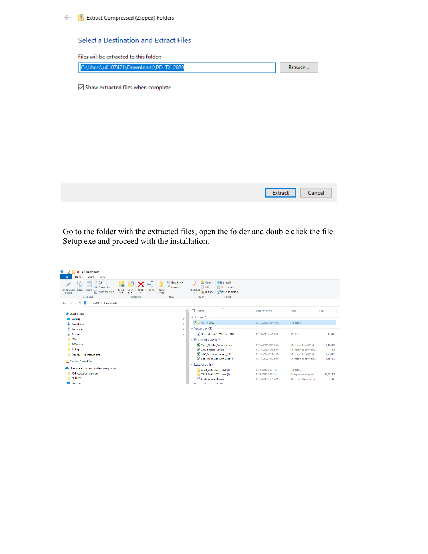#### $\leftarrow$ **Extract Compressed (Zipped) Folders**

#### Select a Destination and Extract Files

| Files will be extracted to this folder: |                   |
|-----------------------------------------|-------------------|
| C:\Users\u0107471\Downloads\PD-TX-2020  | Browse            |
|                                         |                   |
| Show extracted files when complete      |                   |
|                                         |                   |
|                                         |                   |
|                                         |                   |
|                                         |                   |
|                                         |                   |
|                                         |                   |
|                                         |                   |
|                                         |                   |
|                                         | Extract<br>Cancel |

Go to the folder with the extracted files, open the folder and double click the file Setup.exe and proceed with the installation.